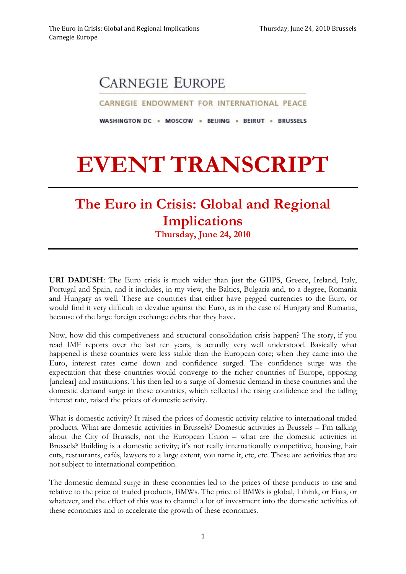## **CARNEGIE EUROPE**

CARNEGIE ENDOWMENT FOR INTERNATIONAL PEACE

WASHINGTON DC = MOSCOW = BEIJING = BEIRUT = BRUSSELS

## **EVENT TRANSCRIPT**

## **The Euro in Crisis: Global and Regional Implications**

**Thursday, June 24, 2010**

**URI DADUSH**: The Euro crisis is much wider than just the GIIPS, Greece, Ireland, Italy, Portugal and Spain, and it includes, in my view, the Baltics, Bulgaria and, to a degree, Romania and Hungary as well. These are countries that either have pegged currencies to the Euro, or would find it very difficult to devalue against the Euro, as in the case of Hungary and Rumania, because of the large foreign exchange debts that they have.

Now, how did this competiveness and structural consolidation crisis happen? The story, if you read IMF reports over the last ten years, is actually very well understood. Basically what happened is these countries were less stable than the European core; when they came into the Euro, interest rates came down and confidence surged. The confidence surge was the expectation that these countries would converge to the richer countries of Europe, opposing [unclear] and institutions. This then led to a surge of domestic demand in these countries and the domestic demand surge in these countries, which reflected the rising confidence and the falling interest rate, raised the prices of domestic activity.

What is domestic activity? It raised the prices of domestic activity relative to international traded products. What are domestic activities in Brussels? Domestic activities in Brussels – I'm talking about the City of Brussels, not the European Union – what are the domestic activities in Brussels? Building is a domestic activity; it's not really internationally competitive, housing, hair cuts, restaurants, cafés, lawyers to a large extent, you name it, etc, etc. These are activities that are not subject to international competition.

The domestic demand surge in these economies led to the prices of these products to rise and relative to the price of traded products, BMWs. The price of BMWs is global, I think, or Fiats, or whatever, and the effect of this was to channel a lot of investment into the domestic activities of these economies and to accelerate the growth of these economies.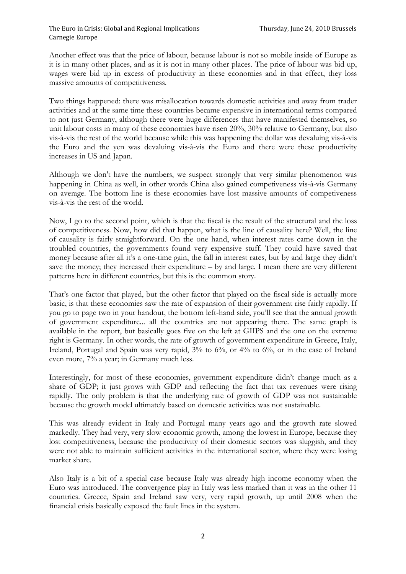Another effect was that the price of labour, because labour is not so mobile inside of Europe as it is in many other places, and as it is not in many other places. The price of labour was bid up, wages were bid up in excess of productivity in these economies and in that effect, they loss massive amounts of competitiveness.

Two things happened: there was misallocation towards domestic activities and away from trader activities and at the same time these countries became expensive in international terms compared to not just Germany, although there were huge differences that have manifested themselves, so unit labour costs in many of these economies have risen 20%, 30% relative to Germany, but also vis-à-vis the rest of the world because while this was happening the dollar was devaluing vis-à-vis the Euro and the yen was devaluing vis-à-vis the Euro and there were these productivity increases in US and Japan.

Although we don't have the numbers, we suspect strongly that very similar phenomenon was happening in China as well, in other words China also gained competiveness vis-à-vis Germany on average. The bottom line is these economies have lost massive amounts of competiveness vis-à-vis the rest of the world.

Now, I go to the second point, which is that the fiscal is the result of the structural and the loss of competitiveness. Now, how did that happen, what is the line of causality here? Well, the line of causality is fairly straightforward. On the one hand, when interest rates came down in the troubled countries, the governments found very expensive stuff. They could have saved that money because after all it's a one-time gain, the fall in interest rates, but by and large they didn't save the money; they increased their expenditure – by and large. I mean there are very different patterns here in different countries, but this is the common story.

That's one factor that played, but the other factor that played on the fiscal side is actually more basic, is that these economies saw the rate of expansion of their government rise fairly rapidly. If you go to page two in your handout, the bottom left-hand side, you'll see that the annual growth of government expenditure... all the countries are not appearing there. The same graph is available in the report, but basically goes five on the left at GIIPS and the one on the extreme right is Germany. In other words, the rate of growth of government expenditure in Greece, Italy, Ireland, Portugal and Spain was very rapid, 3% to 6%, or 4% to 6%, or in the case of Ireland even more, 7% a year; in Germany much less.

Interestingly, for most of these economies, government expenditure didn't change much as a share of GDP; it just grows with GDP and reflecting the fact that tax revenues were rising rapidly. The only problem is that the underlying rate of growth of GDP was not sustainable because the growth model ultimately based on domestic activities was not sustainable.

This was already evident in Italy and Portugal many years ago and the growth rate slowed markedly. They had very, very slow economic growth, among the lowest in Europe, because they lost competitiveness, because the productivity of their domestic sectors was sluggish, and they were not able to maintain sufficient activities in the international sector, where they were losing market share.

Also Italy is a bit of a special case because Italy was already high income economy when the Euro was introduced. The convergence play in Italy was less marked than it was in the other 11 countries. Greece, Spain and Ireland saw very, very rapid growth, up until 2008 when the financial crisis basically exposed the fault lines in the system.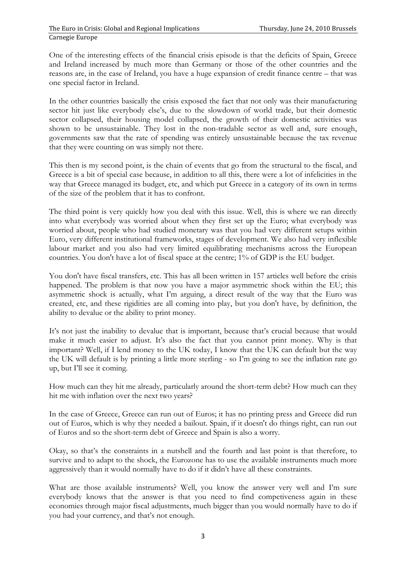One of the interesting effects of the financial crisis episode is that the deficits of Spain, Greece and Ireland increased by much more than Germany or those of the other countries and the reasons are, in the case of Ireland, you have a huge expansion of credit finance centre – that was one special factor in Ireland.

In the other countries basically the crisis exposed the fact that not only was their manufacturing sector hit just like everybody else's, due to the slowdown of world trade, but their domestic sector collapsed, their housing model collapsed, the growth of their domestic activities was shown to be unsustainable. They lost in the non-tradable sector as well and, sure enough, governments saw that the rate of spending was entirely unsustainable because the tax revenue that they were counting on was simply not there.

This then is my second point, is the chain of events that go from the structural to the fiscal, and Greece is a bit of special case because, in addition to all this, there were a lot of infelicities in the way that Greece managed its budget, etc, and which put Greece in a category of its own in terms of the size of the problem that it has to confront.

The third point is very quickly how you deal with this issue. Well, this is where we ran directly into what everybody was worried about when they first set up the Euro; what everybody was worried about, people who had studied monetary was that you had very different setups within Euro, very different institutional frameworks, stages of development. We also had very inflexible labour market and you also had very limited equilibrating mechanisms across the European countries. You don't have a lot of fiscal space at the centre; 1% of GDP is the EU budget.

You don't have fiscal transfers, etc. This has all been written in 157 articles well before the crisis happened. The problem is that now you have a major asymmetric shock within the EU; this asymmetric shock is actually, what I'm arguing, a direct result of the way that the Euro was created, etc, and these rigidities are all coming into play, but you don't have, by definition, the ability to devalue or the ability to print money.

It's not just the inability to devalue that is important, because that's crucial because that would make it much easier to adjust. It's also the fact that you cannot print money. Why is that important? Well, if I lend money to the UK today, I know that the UK can default but the way the UK will default is by printing a little more sterling - so I'm going to see the inflation rate go up, but I'll see it coming.

How much can they hit me already, particularly around the short-term debt? How much can they hit me with inflation over the next two years?

In the case of Greece, Greece can run out of Euros; it has no printing press and Greece did run out of Euros, which is why they needed a bailout. Spain, if it doesn't do things right, can run out of Euros and so the short-term debt of Greece and Spain is also a worry.

Okay, so that's the constraints in a nutshell and the fourth and last point is that therefore, to survive and to adapt to the shock, the Eurozone has to use the available instruments much more aggressively than it would normally have to do if it didn't have all these constraints.

What are those available instruments? Well, you know the answer very well and I'm sure everybody knows that the answer is that you need to find competiveness again in these economies through major fiscal adjustments, much bigger than you would normally have to do if you had your currency, and that's not enough.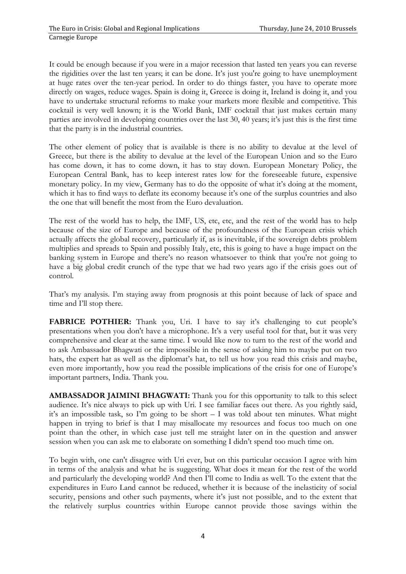It could be enough because if you were in a major recession that lasted ten years you can reverse the rigidities over the last ten years; it can be done. It's just you're going to have unemployment at huge rates over the ten-year period. In order to do things faster, you have to operate more directly on wages, reduce wages. Spain is doing it, Greece is doing it, Ireland is doing it, and you have to undertake structural reforms to make your markets more flexible and competitive. This cocktail is very well known; it is the World Bank, IMF cocktail that just makes certain many parties are involved in developing countries over the last 30, 40 years; it's just this is the first time that the party is in the industrial countries.

The other element of policy that is available is there is no ability to devalue at the level of Greece, but there is the ability to devalue at the level of the European Union and so the Euro has come down, it has to come down, it has to stay down. European Monetary Policy, the European Central Bank, has to keep interest rates low for the foreseeable future, expensive monetary policy. In my view, Germany has to do the opposite of what it's doing at the moment, which it has to find ways to deflate its economy because it's one of the surplus countries and also the one that will benefit the most from the Euro devaluation.

The rest of the world has to help, the IMF, US, etc, etc, and the rest of the world has to help because of the size of Europe and because of the profoundness of the European crisis which actually affects the global recovery, particularly if, as is inevitable, if the sovereign debts problem multiplies and spreads to Spain and possibly Italy, etc, this is going to have a huge impact on the banking system in Europe and there's no reason whatsoever to think that you're not going to have a big global credit crunch of the type that we had two years ago if the crisis goes out of control.

That's my analysis. I'm staying away from prognosis at this point because of lack of space and time and I'll stop there.

**FABRICE POTHIER:** Thank you, Uri. I have to say it's challenging to cut people's presentations when you don't have a microphone. It's a very useful tool for that, but it was very comprehensive and clear at the same time. I would like now to turn to the rest of the world and to ask Ambassador Bhagwati or the impossible in the sense of asking him to maybe put on two hats, the expert hat as well as the diplomat's hat, to tell us how you read this crisis and maybe, even more importantly, how you read the possible implications of the crisis for one of Europe's important partners, India. Thank you.

**AMBASSADOR JAIMINI BHAGWATI:** Thank you for this opportunity to talk to this select audience. It's nice always to pick up with Uri. I see familiar faces out there. As you rightly said, it's an impossible task, so I'm going to be short – I was told about ten minutes. What might happen in trying to brief is that I may misallocate my resources and focus too much on one point than the other, in which case just tell me straight later on in the question and answer session when you can ask me to elaborate on something I didn't spend too much time on.

To begin with, one can't disagree with Uri ever, but on this particular occasion I agree with him in terms of the analysis and what he is suggesting. What does it mean for the rest of the world and particularly the developing world? And then I'll come to India as well. To the extent that the expenditures in Euro Land cannot be reduced, whether it is because of the inelasticity of social security, pensions and other such payments, where it's just not possible, and to the extent that the relatively surplus countries within Europe cannot provide those savings within the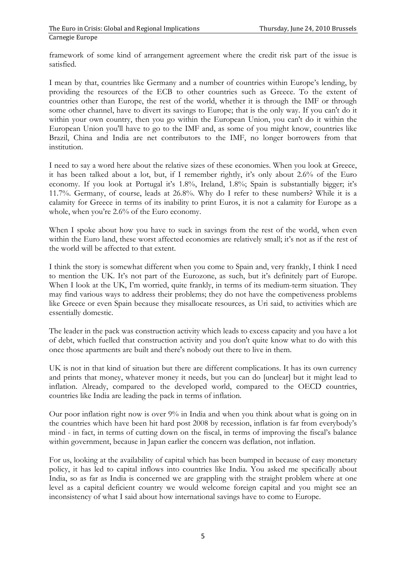framework of some kind of arrangement agreement where the credit risk part of the issue is satisfied.

I mean by that, countries like Germany and a number of countries within Europe's lending, by providing the resources of the ECB to other countries such as Greece. To the extent of countries other than Europe, the rest of the world, whether it is through the IMF or through some other channel, have to divert its savings to Europe; that is the only way. If you can't do it within your own country, then you go within the European Union, you can't do it within the European Union you'll have to go to the IMF and, as some of you might know, countries like Brazil, China and India are net contributors to the IMF, no longer borrowers from that institution.

I need to say a word here about the relative sizes of these economies. When you look at Greece, it has been talked about a lot, but, if I remember rightly, it's only about 2.6% of the Euro economy. If you look at Portugal it's 1.8%, Ireland, 1.8%; Spain is substantially bigger; it's 11.7%. Germany, of course, leads at 26.8%. Why do I refer to these numbers? While it is a calamity for Greece in terms of its inability to print Euros, it is not a calamity for Europe as a whole, when you're 2.6% of the Euro economy.

When I spoke about how you have to suck in savings from the rest of the world, when even within the Euro land, these worst affected economies are relatively small; it's not as if the rest of the world will be affected to that extent.

I think the story is somewhat different when you come to Spain and, very frankly, I think I need to mention the UK. It's not part of the Eurozone, as such, but it's definitely part of Europe. When I look at the UK, I'm worried, quite frankly, in terms of its medium-term situation. They may find various ways to address their problems; they do not have the competiveness problems like Greece or even Spain because they misallocate resources, as Uri said, to activities which are essentially domestic.

The leader in the pack was construction activity which leads to excess capacity and you have a lot of debt, which fuelled that construction activity and you don't quite know what to do with this once those apartments are built and there's nobody out there to live in them.

UK is not in that kind of situation but there are different complications. It has its own currency and prints that money, whatever money it needs, but you can do [unclear] but it might lead to inflation. Already, compared to the developed world, compared to the OECD countries, countries like India are leading the pack in terms of inflation.

Our poor inflation right now is over 9% in India and when you think about what is going on in the countries which have been hit hard post 2008 by recession, inflation is far from everybody's mind - in fact, in terms of cutting down on the fiscal, in terms of improving the fiscal's balance within government, because in Japan earlier the concern was deflation, not inflation.

For us, looking at the availability of capital which has been bumped in because of easy monetary policy, it has led to capital inflows into countries like India. You asked me specifically about India, so as far as India is concerned we are grappling with the straight problem where at one level as a capital deficient country we would welcome foreign capital and you might see an inconsistency of what I said about how international savings have to come to Europe.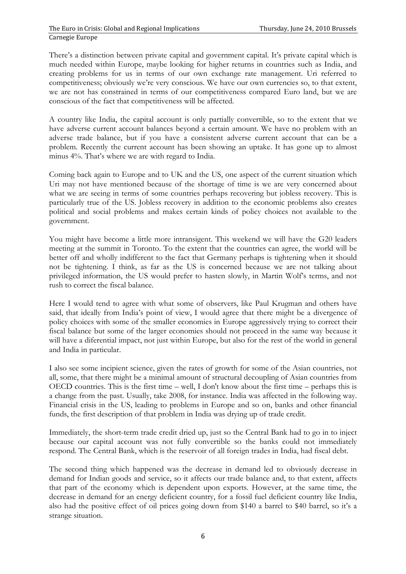There's a distinction between private capital and government capital. It's private capital which is much needed within Europe, maybe looking for higher returns in countries such as India, and creating problems for us in terms of our own exchange rate management. Uri referred to competitiveness; obviously we're very conscious. We have our own currencies so, to that extent, we are not has constrained in terms of our competitiveness compared Euro land, but we are conscious of the fact that competitiveness will be affected.

A country like India, the capital account is only partially convertible, so to the extent that we have adverse current account balances beyond a certain amount. We have no problem with an adverse trade balance, but if you have a consistent adverse current account that can be a problem. Recently the current account has been showing an uptake. It has gone up to almost minus 4%. That's where we are with regard to India.

Coming back again to Europe and to UK and the US, one aspect of the current situation which Uri may not have mentioned because of the shortage of time is we are very concerned about what we are seeing in terms of some countries perhaps recovering but jobless recovery. This is particularly true of the US. Jobless recovery in addition to the economic problems also creates political and social problems and makes certain kinds of policy choices not available to the government.

You might have become a little more intransigent. This weekend we will have the G20 leaders meeting at the summit in Toronto. To the extent that the countries can agree, the world will be better off and wholly indifferent to the fact that Germany perhaps is tightening when it should not be tightening. I think, as far as the US is concerned because we are not talking about privileged information, the US would prefer to hasten slowly, in Martin Wolf's terms, and not rush to correct the fiscal balance.

Here I would tend to agree with what some of observers, like Paul Krugman and others have said, that ideally from India's point of view, I would agree that there might be a divergence of policy choices with some of the smaller economies in Europe aggressively trying to correct their fiscal balance but some of the larger economies should not proceed in the same way because it will have a diferential impact, not just within Europe, but also for the rest of the world in general and India in particular.

I also see some incipient science, given the rates of growth for some of the Asian countries, not all, some, that there might be a minimal amount of structural decoupling of Asian countries from OECD countries. This is the first time – well, I don't know about the first time – perhaps this is a change from the past. Usually, take 2008, for instance. India was affected in the following way. Financial crisis in the US, leading to problems in Europe and so on, banks and other financial funds, the first description of that problem in India was drying up of trade credit.

Immediately, the short-term trade credit dried up, just so the Central Bank had to go in to inject because our capital account was not fully convertible so the banks could not immediately respond. The Central Bank, which is the reservoir of all foreign trades in India, had fiscal debt.

The second thing which happened was the decrease in demand led to obviously decrease in demand for Indian goods and service, so it affects our trade balance and, to that extent, affects that part of the economy which is dependent upon exports. However, at the same time, the decrease in demand for an energy deficient country, for a fossil fuel deficient country like India, also had the positive effect of oil prices going down from \$140 a barrel to \$40 barrel, so it's a strange situation.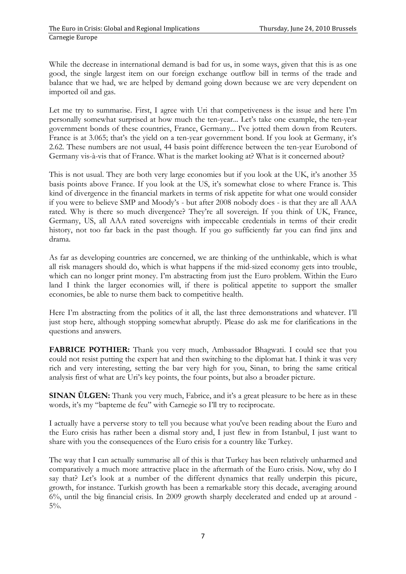While the decrease in international demand is bad for us, in some ways, given that this is as one good, the single largest item on our foreign exchange outflow bill in terms of the trade and balance that we had, we are helped by demand going down because we are very dependent on imported oil and gas.

Let me try to summarise. First, I agree with Uri that competiveness is the issue and here I'm personally somewhat surprised at how much the ten-year... Let's take one example, the ten-year government bonds of these countries, France, Germany... I've jotted them down from Reuters. France is at 3.065; that's the yield on a ten-year government bond. If you look at Germany, it's 2.62. These numbers are not usual, 44 basis point difference between the ten-year Eurobond of Germany vis-à-vis that of France. What is the market looking at? What is it concerned about?

This is not usual. They are both very large economies but if you look at the UK, it's another 35 basis points above France. If you look at the US, it's somewhat close to where France is. This kind of divergence in the financial markets in terms of risk appetite for what one would consider if you were to believe SMP and Moody's - but after 2008 nobody does - is that they are all AAA rated. Why is there so much divergence? They're all sovereign. If you think of UK, France, Germany, US, all AAA rated sovereigns with impeccable credentials in terms of their credit history, not too far back in the past though. If you go sufficiently far you can find jinx and drama.

As far as developing countries are concerned, we are thinking of the unthinkable, which is what all risk managers should do, which is what happens if the mid-sized economy gets into trouble, which can no longer print money. I'm abstracting from just the Euro problem. Within the Euro land I think the larger economies will, if there is political appetite to support the smaller economies, be able to nurse them back to competitive health.

Here I'm abstracting from the politics of it all, the last three demonstrations and whatever. I'll just stop here, although stopping somewhat abruptly. Please do ask me for clarifications in the questions and answers.

**FABRICE POTHIER:** Thank you very much, Ambassador Bhagwati. I could see that you could not resist putting the expert hat and then switching to the diplomat hat. I think it was very rich and very interesting, setting the bar very high for you, Sinan, to bring the same critical analysis first of what are Uri's key points, the four points, but also a broader picture.

**SINAN ÜLGEN:** Thank you very much, Fabrice, and it's a great pleasure to be here as in these words, it's my "bapteme de feu" with Carnegie so I'll try to reciprocate.

I actually have a perverse story to tell you because what you've been reading about the Euro and the Euro crisis has rather been a dismal story and, I just flew in from Istanbul, I just want to share with you the consequences of the Euro crisis for a country like Turkey.

The way that I can actually summarise all of this is that Turkey has been relatively unharmed and comparatively a much more attractive place in the aftermath of the Euro crisis. Now, why do I say that? Let's look at a number of the different dynamics that really underpin this picure, growth, for instance. Turkish growth has been a remarkable story this decade, averaging around 6%, until the big financial crisis. In 2009 growth sharply decelerated and ended up at around - 5%.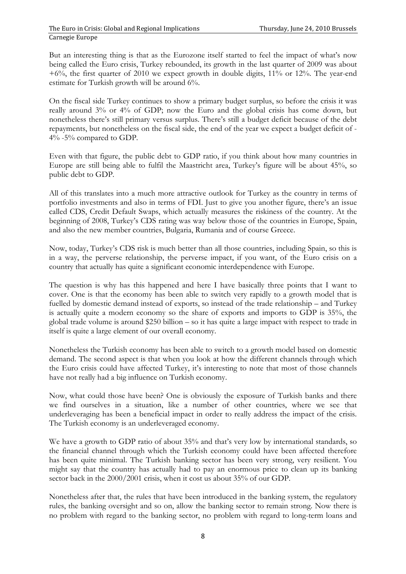But an interesting thing is that as the Eurozone itself started to feel the impact of what's now being called the Euro crisis, Turkey rebounded, its growth in the last quarter of 2009 was about +6%, the first quarter of 2010 we expect growth in double digits, 11% or 12%. The year-end estimate for Turkish growth will be around 6%.

On the fiscal side Turkey continues to show a primary budget surplus, so before the crisis it was really around 3% or 4% of GDP; now the Euro and the global crisis has come down, but nonetheless there's still primary versus surplus. There's still a budget deficit because of the debt repayments, but nonetheless on the fiscal side, the end of the year we expect a budget deficit of - 4% -5% compared to GDP.

Even with that figure, the public debt to GDP ratio, if you think about how many countries in Europe are still being able to fulfil the Maastricht area, Turkey's figure will be about 45%, so public debt to GDP.

All of this translates into a much more attractive outlook for Turkey as the country in terms of portfolio investments and also in terms of FDI. Just to give you another figure, there's an issue called CDS, Credit Default Swaps, which actually measures the riskiness of the country. At the beginning of 2008, Turkey's CDS rating was way below those of the countries in Europe, Spain, and also the new member countries, Bulgaria, Rumania and of course Greece.

Now, today, Turkey's CDS risk is much better than all those countries, including Spain, so this is in a way, the perverse relationship, the perverse impact, if you want, of the Euro crisis on a country that actually has quite a significant economic interdependence with Europe.

The question is why has this happened and here I have basically three points that I want to cover. One is that the economy has been able to switch very rapidly to a growth model that is fuelled by domestic demand instead of exports, so instead of the trade relationship – and Turkey is actually quite a modern economy so the share of exports and imports to GDP is 35%, the global trade volume is around \$250 billion – so it has quite a large impact with respect to trade in itself is quite a large element of our overall economy.

Nonetheless the Turkish economy has been able to switch to a growth model based on domestic demand. The second aspect is that when you look at how the different channels through which the Euro crisis could have affected Turkey, it's interesting to note that most of those channels have not really had a big influence on Turkish economy.

Now, what could those have been? One is obviously the exposure of Turkish banks and there we find ourselves in a situation, like a number of other countries, where we see that underleveraging has been a beneficial impact in order to really address the impact of the crisis. The Turkish economy is an underleveraged economy.

We have a growth to GDP ratio of about 35% and that's very low by international standards, so the financial channel through which the Turkish economy could have been affected therefore has been quite minimal. The Turkish banking sector has been very strong, very resilient. You might say that the country has actually had to pay an enormous price to clean up its banking sector back in the 2000/2001 crisis, when it cost us about 35% of our GDP.

Nonetheless after that, the rules that have been introduced in the banking system, the regulatory rules, the banking oversight and so on, allow the banking sector to remain strong. Now there is no problem with regard to the banking sector, no problem with regard to long-term loans and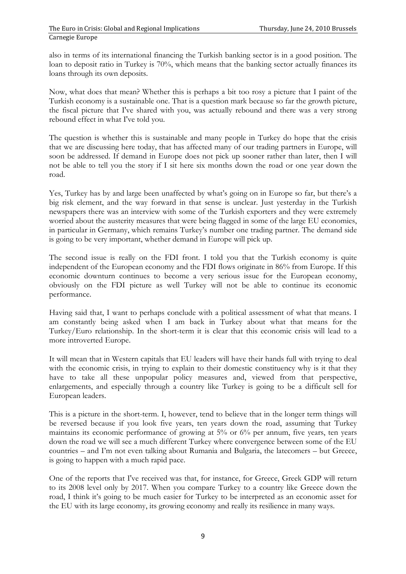also in terms of its international financing the Turkish banking sector is in a good position. The loan to deposit ratio in Turkey is 70%, which means that the banking sector actually finances its loans through its own deposits.

Now, what does that mean? Whether this is perhaps a bit too rosy a picture that I paint of the Turkish economy is a sustainable one. That is a question mark because so far the growth picture, the fiscal picture that I've shared with you, was actually rebound and there was a very strong rebound effect in what I've told you.

The question is whether this is sustainable and many people in Turkey do hope that the crisis that we are discussing here today, that has affected many of our trading partners in Europe, will soon be addressed. If demand in Europe does not pick up sooner rather than later, then I will not be able to tell you the story if I sit here six months down the road or one year down the road.

Yes, Turkey has by and large been unaffected by what's going on in Europe so far, but there's a big risk element, and the way forward in that sense is unclear. Just yesterday in the Turkish newspapers there was an interview with some of the Turkish exporters and they were extremely worried about the austerity measures that were being flagged in some of the large EU economies, in particular in Germany, which remains Turkey's number one trading partner. The demand side is going to be very important, whether demand in Europe will pick up.

The second issue is really on the FDI front. I told you that the Turkish economy is quite independent of the European economy and the FDI flows originate in 86% from Europe. If this economic downturn continues to become a very serious issue for the European economy, obviously on the FDI picture as well Turkey will not be able to continue its economic performance.

Having said that, I want to perhaps conclude with a political assessment of what that means. I am constantly being asked when I am back in Turkey about what that means for the Turkey/Euro relationship. In the short-term it is clear that this economic crisis will lead to a more introverted Europe.

It will mean that in Western capitals that EU leaders will have their hands full with trying to deal with the economic crisis, in trying to explain to their domestic constituency why is it that they have to take all these unpopular policy measures and, viewed from that perspective, enlargements, and especially through a country like Turkey is going to be a difficult sell for European leaders.

This is a picture in the short-term. I, however, tend to believe that in the longer term things will be reversed because if you look five years, ten years down the road, assuming that Turkey maintains its economic performance of growing at 5% or 6% per annum, five years, ten years down the road we will see a much different Turkey where convergence between some of the EU countries – and I'm not even talking about Rumania and Bulgaria, the latecomers – but Greece, is going to happen with a much rapid pace.

One of the reports that I've received was that, for instance, for Greece, Greek GDP will return to its 2008 level only by 2017. When you compare Turkey to a country like Greece down the road, I think it's going to be much easier for Turkey to be interpreted as an economic asset for the EU with its large economy, its growing economy and really its resilience in many ways.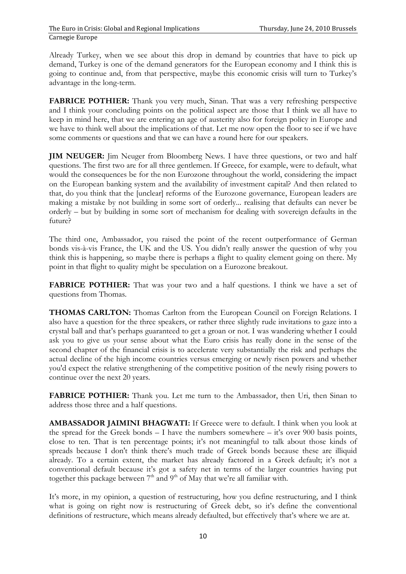Already Turkey, when we see about this drop in demand by countries that have to pick up demand, Turkey is one of the demand generators for the European economy and I think this is going to continue and, from that perspective, maybe this economic crisis will turn to Turkey's advantage in the long-term.

**FABRICE POTHIER:** Thank you very much, Sinan. That was a very refreshing perspective and I think your concluding points on the political aspect are those that I think we all have to keep in mind here, that we are entering an age of austerity also for foreign policy in Europe and we have to think well about the implications of that. Let me now open the floor to see if we have some comments or questions and that we can have a round here for our speakers.

**JIM NEUGER:** Jim Neuger from Bloomberg News. I have three questions, or two and half questions. The first two are for all three gentlemen. If Greece, for example, were to default, what would the consequences be for the non Eurozone throughout the world, considering the impact on the European banking system and the availability of investment capital? And then related to that, do you think that the [unclear] reforms of the Eurozone governance, European leaders are making a mistake by not building in some sort of orderly... realising that defaults can never be orderly – but by building in some sort of mechanism for dealing with sovereign defaults in the future?

The third one, Ambassador, you raised the point of the recent outperformance of German bonds vis-à-vis France, the UK and the US. You didn't really answer the question of why you think this is happening, so maybe there is perhaps a flight to quality element going on there. My point in that flight to quality might be speculation on a Eurozone breakout.

**FABRICE POTHIER:** That was your two and a half questions. I think we have a set of questions from Thomas.

**THOMAS CARLTON:** Thomas Carlton from the European Council on Foreign Relations. I also have a question for the three speakers, or rather three slightly rude invitations to gaze into a crystal ball and that's perhaps guaranteed to get a groan or not. I was wandering whether I could ask you to give us your sense about what the Euro crisis has really done in the sense of the second chapter of the financial crisis is to accelerate very substantially the risk and perhaps the actual decline of the high income countries versus emerging or newly risen powers and whether you'd expect the relative strengthening of the competitive position of the newly rising powers to continue over the next 20 years.

**FABRICE POTHIER:** Thank you. Let me turn to the Ambassador, then Uri, then Sinan to address those three and a half questions.

**AMBASSADOR JAIMINI BHAGWATI:** If Greece were to default. I think when you look at the spread for the Greek bonds  $-$  I have the numbers somewhere  $-$  it's over 900 basis points, close to ten. That is ten percentage points; it's not meaningful to talk about those kinds of spreads because I don't think there's much trade of Greek bonds because these are illiquid already. To a certain extent, the market has already factored in a Greek default; it's not a conventional default because it's got a safety net in terms of the larger countries having put together this package between  $7<sup>th</sup>$  and  $9<sup>th</sup>$  of May that we're all familiar with.

It's more, in my opinion, a question of restructuring, how you define restructuring, and I think what is going on right now is restructuring of Greek debt, so it's define the conventional definitions of restructure, which means already defaulted, but effectively that's where we are at.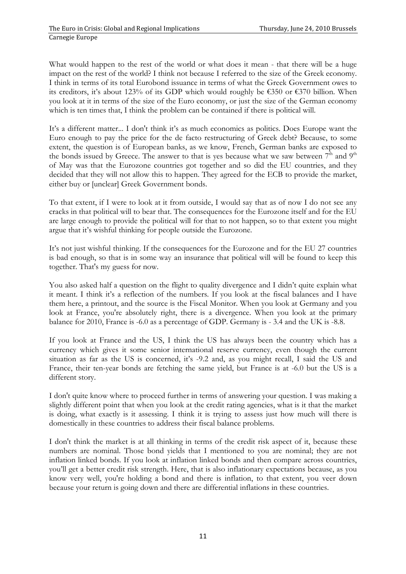What would happen to the rest of the world or what does it mean - that there will be a huge impact on the rest of the world? I think not because I referred to the size of the Greek economy. I think in terms of its total Eurobond issuance in terms of what the Greek Government owes to its creditors, it's about 123% of its GDP which would roughly be €350 or €370 billion. When you look at it in terms of the size of the Euro economy, or just the size of the German economy which is ten times that, I think the problem can be contained if there is political will.

It's a different matter... I don't think it's as much economics as politics. Does Europe want the Euro enough to pay the price for the de facto restructuring of Greek debt? Because, to some extent, the question is of European banks, as we know, French, German banks are exposed to the bonds issued by Greece. The answer to that is yes because what we saw between  $7<sup>th</sup>$  and  $9<sup>th</sup>$ of May was that the Eurozone countries got together and so did the EU countries, and they decided that they will not allow this to happen. They agreed for the ECB to provide the market, either buy or [unclear] Greek Government bonds.

To that extent, if I were to look at it from outside, I would say that as of now I do not see any cracks in that political will to bear that. The consequences for the Eurozone itself and for the EU are large enough to provide the political will for that to not happen, so to that extent you might argue that it's wishful thinking for people outside the Eurozone.

It's not just wishful thinking. If the consequences for the Eurozone and for the EU 27 countries is bad enough, so that is in some way an insurance that political will will be found to keep this together. That's my guess for now.

You also asked half a question on the flight to quality divergence and I didn't quite explain what it meant. I think it's a reflection of the numbers. If you look at the fiscal balances and I have them here, a printout, and the source is the Fiscal Monitor. When you look at Germany and you look at France, you're absolutely right, there is a divergence. When you look at the primary balance for 2010, France is -6.0 as a percentage of GDP. Germany is - 3.4 and the UK is -8.8.

If you look at France and the US, I think the US has always been the country which has a currency which gives it some senior international reserve currency, even though the current situation as far as the US is concerned, it's -9.2 and, as you might recall, I said the US and France, their ten-year bonds are fetching the same yield, but France is at -6.0 but the US is a different story.

I don't quite know where to proceed further in terms of answering your question. I was making a slightly different point that when you look at the credit rating agencies, what is it that the market is doing, what exactly is it assessing. I think it is trying to assess just how much will there is domestically in these countries to address their fiscal balance problems.

I don't think the market is at all thinking in terms of the credit risk aspect of it, because these numbers are nominal. Those bond yields that I mentioned to you are nominal; they are not inflation linked bonds. If you look at inflation linked bonds and then compare across countries, you'll get a better credit risk strength. Here, that is also inflationary expectations because, as you know very well, you're holding a bond and there is inflation, to that extent, you veer down because your return is going down and there are differential inflations in these countries.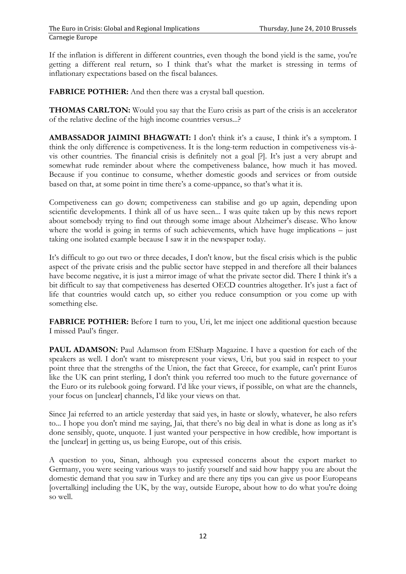If the inflation is different in different countries, even though the bond yield is the same, you're getting a different real return, so I think that's what the market is stressing in terms of inflationary expectations based on the fiscal balances.

**FABRICE POTHIER:** And then there was a crystal ball question.

**THOMAS CARLTON:** Would you say that the Euro crisis as part of the crisis is an accelerator of the relative decline of the high income countries versus...?

**AMBASSADOR JAIMINI BHAGWATI:** I don't think it's a cause, I think it's a symptom. I think the only difference is competiveness. It is the long-term reduction in competiveness vis-àvis other countries. The financial crisis is definitely not a goal [?]. It's just a very abrupt and somewhat rude reminder about where the competiveness balance, how much it has moved. Because if you continue to consume, whether domestic goods and services or from outside based on that, at some point in time there's a come-uppance, so that's what it is.

Competiveness can go down; competiveness can stabilise and go up again, depending upon scientific developments. I think all of us have seen... I was quite taken up by this news report about somebody trying to find out through some image about Alzheimer's disease. Who know where the world is going in terms of such achievements, which have huge implications – just taking one isolated example because I saw it in the newspaper today.

It's difficult to go out two or three decades, I don't know, but the fiscal crisis which is the public aspect of the private crisis and the public sector have stepped in and therefore all their balances have become negative, it is just a mirror image of what the private sector did. There I think it's a bit difficult to say that competiveness has deserted OECD countries altogether. It's just a fact of life that countries would catch up, so either you reduce consumption or you come up with something else.

**FABRICE POTHIER:** Before I turn to you, Uri, let me inject one additional question because I missed Paul's finger.

**PAUL ADAMSON:** Paul Adamson from E!Sharp Magazine. I have a question for each of the speakers as well. I don't want to misrepresent your views, Uri, but you said in respect to your point three that the strengths of the Union, the fact that Greece, for example, can't print Euros like the UK can print sterling, I don't think you referred too much to the future governance of the Euro or its rulebook going forward. I'd like your views, if possible, on what are the channels, your focus on [unclear] channels, I'd like your views on that.

Since Jai referred to an article yesterday that said yes, in haste or slowly, whatever, he also refers to... I hope you don't mind me saying, Jai, that there's no big deal in what is done as long as it's done sensibly, quote, unquote. I just wanted your perspective in how credible, how important is the [unclear] in getting us, us being Europe, out of this crisis.

A question to you, Sinan, although you expressed concerns about the export market to Germany, you were seeing various ways to justify yourself and said how happy you are about the domestic demand that you saw in Turkey and are there any tips you can give us poor Europeans [overtalking] including the UK, by the way, outside Europe, about how to do what you're doing so well.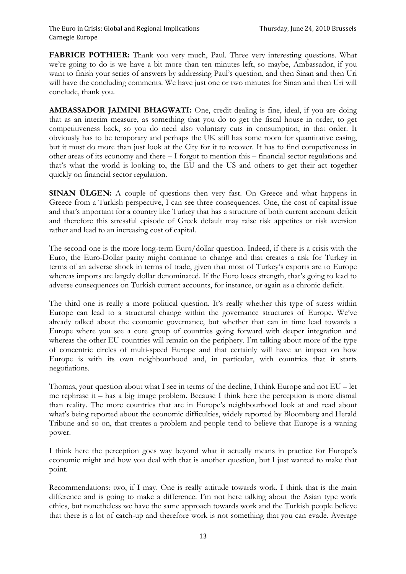**FABRICE POTHIER:** Thank you very much, Paul. Three very interesting questions. What we're going to do is we have a bit more than ten minutes left, so maybe, Ambassador, if you want to finish your series of answers by addressing Paul's question, and then Sinan and then Uri will have the concluding comments. We have just one or two minutes for Sinan and then Uri will conclude, thank you.

**AMBASSADOR JAIMINI BHAGWATI:** One, credit dealing is fine, ideal, if you are doing that as an interim measure, as something that you do to get the fiscal house in order, to get competitiveness back, so you do need also voluntary cuts in consumption, in that order. It obviously has to be temporary and perhaps the UK still has some room for quantitative easing, but it must do more than just look at the City for it to recover. It has to find competiveness in other areas of its economy and there – I forgot to mention this – financial sector regulations and that's what the world is looking to, the EU and the US and others to get their act together quickly on financial sector regulation.

**SINAN ULGEN:** A couple of questions then very fast. On Greece and what happens in Greece from a Turkish perspective, I can see three consequences. One, the cost of capital issue and that's important for a country like Turkey that has a structure of both current account deficit and therefore this stressful episode of Greek default may raise risk appetites or risk aversion rather and lead to an increasing cost of capital.

The second one is the more long-term Euro/dollar question. Indeed, if there is a crisis with the Euro, the Euro-Dollar parity might continue to change and that creates a risk for Turkey in terms of an adverse shock in terms of trade, given that most of Turkey's exports are to Europe whereas imports are largely dollar denominated. If the Euro loses strength, that's going to lead to adverse consequences on Turkish current accounts, for instance, or again as a chronic deficit.

The third one is really a more political question. It's really whether this type of stress within Europe can lead to a structural change within the governance structures of Europe. We've already talked about the economic governance, but whether that can in time lead towards a Europe where you see a core group of countries going forward with deeper integration and whereas the other EU countries will remain on the periphery. I'm talking about more of the type of concentric circles of multi-speed Europe and that certainly will have an impact on how Europe is with its own neighbourhood and, in particular, with countries that it starts negotiations.

Thomas, your question about what I see in terms of the decline, I think Europe and not EU – let me rephrase it – has a big image problem. Because I think here the perception is more dismal than reality. The more countries that are in Europe's neighbourhood look at and read about what's being reported about the economic difficulties, widely reported by Bloomberg and Herald Tribune and so on, that creates a problem and people tend to believe that Europe is a waning power.

I think here the perception goes way beyond what it actually means in practice for Europe's economic might and how you deal with that is another question, but I just wanted to make that point.

Recommendations: two, if I may. One is really attitude towards work. I think that is the main difference and is going to make a difference. I'm not here talking about the Asian type work ethics, but nonetheless we have the same approach towards work and the Turkish people believe that there is a lot of catch-up and therefore work is not something that you can evade. Average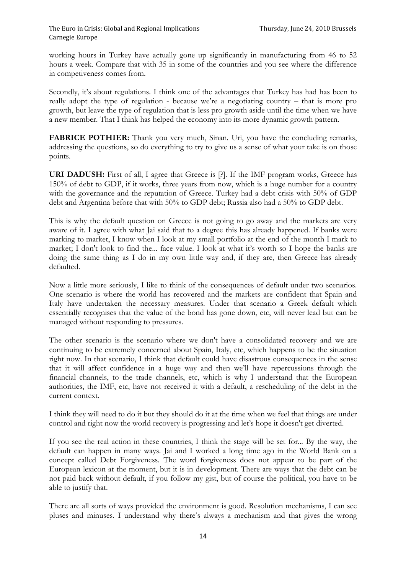working hours in Turkey have actually gone up significantly in manufacturing from 46 to 52 hours a week. Compare that with 35 in some of the countries and you see where the difference in competiveness comes from.

Secondly, it's about regulations. I think one of the advantages that Turkey has had has been to really adopt the type of regulation - because we're a negotiating country – that is more pro growth, but leave the type of regulation that is less pro growth aside until the time when we have a new member. That I think has helped the economy into its more dynamic growth pattern.

**FABRICE POTHIER:** Thank you very much, Sinan. Uri, you have the concluding remarks, addressing the questions, so do everything to try to give us a sense of what your take is on those points.

**URI DADUSH:** First of all, I agree that Greece is [?]. If the IMF program works, Greece has 150% of debt to GDP, if it works, three years from now, which is a huge number for a country with the governance and the reputation of Greece. Turkey had a debt crisis with 50% of GDP debt and Argentina before that with 50% to GDP debt; Russia also had a 50% to GDP debt.

This is why the default question on Greece is not going to go away and the markets are very aware of it. I agree with what Jai said that to a degree this has already happened. If banks were marking to market, I know when I look at my small portfolio at the end of the month I mark to market; I don't look to find the... face value. I look at what it's worth so I hope the banks are doing the same thing as I do in my own little way and, if they are, then Greece has already defaulted.

Now a little more seriously, I like to think of the consequences of default under two scenarios. One scenario is where the world has recovered and the markets are confident that Spain and Italy have undertaken the necessary measures. Under that scenario a Greek default which essentially recognises that the value of the bond has gone down, etc, will never lead but can be managed without responding to pressures.

The other scenario is the scenario where we don't have a consolidated recovery and we are continuing to be extremely concerned about Spain, Italy, etc, which happens to be the situation right now. In that scenario, I think that default could have disastrous consequences in the sense that it will affect confidence in a huge way and then we'll have repercussions through the financial channels, to the trade channels, etc, which is why I understand that the European authorities, the IMF, etc, have not received it with a default, a rescheduling of the debt in the current context.

I think they will need to do it but they should do it at the time when we feel that things are under control and right now the world recovery is progressing and let's hope it doesn't get diverted.

If you see the real action in these countries, I think the stage will be set for... By the way, the default can happen in many ways. Jai and I worked a long time ago in the World Bank on a concept called Debt Forgiveness. The word forgiveness does not appear to be part of the European lexicon at the moment, but it is in development. There are ways that the debt can be not paid back without default, if you follow my gist, but of course the political, you have to be able to justify that.

There are all sorts of ways provided the environment is good. Resolution mechanisms, I can see pluses and minuses. I understand why there's always a mechanism and that gives the wrong